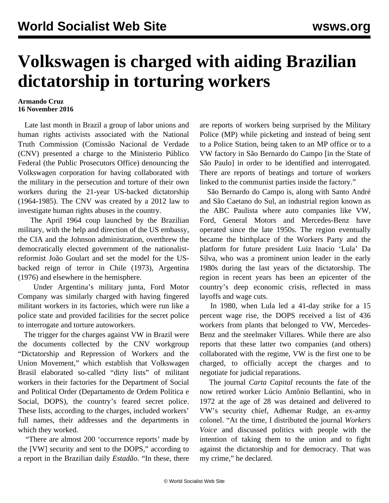## **Volkswagen is charged with aiding Brazilian dictatorship in torturing workers**

## **Armando Cruz 16 November 2016**

 Late last month in Brazil a group of labor unions and human rights activists associated with the National Truth Commission (Comissão Nacional de Verdade (CNV) presented a charge to the Ministerio Público Federal (the Public Prosecutors Office) denouncing the Volkswagen corporation for having collaborated with the military in the persecution and torture of their own workers during the 21-year US-backed dictatorship (1964-1985). The CNV was created by a 2012 law to investigate human rights abuses in the country.

 The April 1964 coup launched by the Brazilian military, with the help and direction of the US embassy, the CIA and the Johnson administration, overthrew the democratically elected government of the nationalistreformist João Goulart and set the model for the USbacked reign of terror in Chile (1973), Argentina (1976) and elsewhere in the hemisphere.

 Under Argentina's military junta, Ford Motor Company was similarly charged with having fingered militant workers in its factories, which were run like a police state and provided facilities for the secret police to interrogate and torture autoworkers.

 The trigger for the charges against VW in Brazil were the documents collected by the CNV workgroup "Dictatorship and Repression of Workers and the Union Movement," which establish that Volkswagen Brasil elaborated so-called "dirty lists" of militant workers in their factories for the Department of Social and Political Order (Departamento de Ordem Política e Social, DOPS), the country's feared secret police. These lists, according to the charges, included workers' full names, their addresses and the departments in which they worked.

 "There are almost 200 'occurrence reports' made by the [VW] security and sent to the DOPS," according to a report in the Brazilian daily *Estadão.* "In these, there are reports of workers being surprised by the Military Police (MP) while picketing and instead of being sent to a Police Station, being taken to an MP office or to a VW factory in São Bernardo do Campo [in the State of São Paulo] in order to be identified and interrogated. There are reports of beatings and torture of workers linked to the communist parties inside the factory."

 São Bernardo do Campo is, along with Santo André and São Caetano do Sul, an industrial region known as the ABC Paulista where auto companies like VW, Ford, General Motors and Mercedes-Benz have operated since the late 1950s. The region eventually became the birthplace of the Workers Party and the platform for future president Luiz Inacio 'Lula' Da Silva, who was a prominent union leader in the early 1980s during the last years of the dictatorship. The region in recent years has been an epicenter of the country's deep economic crisis, reflected in mass layoffs and wage cuts.

 In 1980, when Lula led a 41-day strike for a 15 percent wage rise, the DOPS received a list of 436 workers from plants that belonged to VW, Mercedes-Benz and the steelmaker Villares. While there are also reports that these latter two companies (and others) collaborated with the regime, VW is the first one to be charged, to officially accept the charges and to negotiate for judicial reparations.

 The journal *Carta Capital* recounts the fate of the now retired worker Lúcio Antônio Bellantini, who in 1972 at the age of 28 was detained and delivered to VW's security chief, Adhemar Rudge, an ex-army colonel. "At the time, I distributed the journal *Workers Voice* and discussed politics with people with the intention of taking them to the union and to fight against the dictatorship and for democracy. That was my crime," he declared.